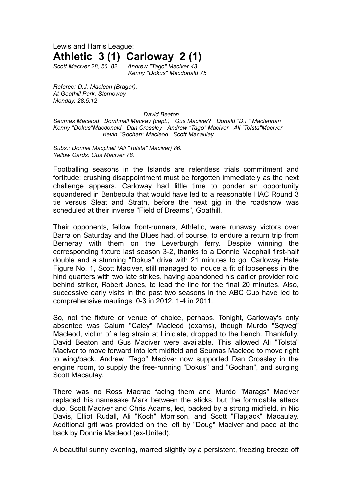## Lewis and Harris League: **Athletic 3 (1) Carloway 2 (1)**

*Scott Maciver 28, 50, 82 Andrew "Tago" Maciver 43 Kenny "Dokus" Macdonald 75*

*Referee: D.J. Maclean (Bragar). At Goathill Park, Stornoway. Monday, 28.5.12* 

*David Beaton*

*Seumas Macleod Domhnall Mackay (capt.) Gus Maciver*? *Donald "D.I." Maclennan Kenny "Dokus"Macdonald Dan Crossley Andrew "Tago" Maciver Ali "Tolsta"Maciver Kevin "Gochan" Macleod Scott Macaulay.*

*Subs.: Donnie Macphail (Ali "Tolsta" Maciver) 86. Yellow Cards: Gus Maciver 78.*

Footballing seasons in the Islands are relentless trials commitment and fortitude: crushing disappointment must be forgotten immediately as the next challenge appears. Carloway had little time to ponder an opportunity squandered in Benbecula that would have led to a reasonable HAC Round 3 tie versus Sleat and Strath, before the next gig in the roadshow was scheduled at their inverse "Field of Dreams", Goathill.

Their opponents, fellow front-runners, Athletic, were runaway victors over Barra on Saturday and the Blues had, of course, to endure a return trip from Berneray with them on the Leverburgh ferry. Despite winning the corresponding fixture last season 3-2, thanks to a Donnie Macphail first-half double and a stunning "Dokus" drive with 21 minutes to go, Carloway Hate Figure No. 1, Scott Maciver, still managed to induce a fit of looseness in the hind quarters with two late strikes, having abandoned his earlier provider role behind striker, Robert Jones, to lead the line for the final 20 minutes. Also, successive early visits in the past two seasons in the ABC Cup have led to comprehensive maulings, 0-3 in 2012, 1-4 in 2011.

So, not the fixture or venue of choice, perhaps. Tonight, Carloway's only absentee was Calum "Caley" Macleod (exams), though Murdo "Sqweg" Macleod, victim of a leg strain at Liniclate, dropped to the bench. Thankfully, David Beaton and Gus Maciver were available. This allowed Ali "Tolsta" Maciver to move forward into left midfield and Seumas Macleod to move right to wing/back. Andrew "Tago" Maciver now supported Dan Crossley in the engine room, to supply the free-running "Dokus" and "Gochan", and surging Scott Macaulay.

There was no Ross Macrae facing them and Murdo "Marags" Maciver replaced his namesake Mark between the sticks, but the formidable attack duo, Scott Maciver and Chris Adams, led, backed by a strong midfield, in Nic Davis, Elliot Rudall, Ali "Koch" Morrison, and Scott "Flapjack" Macaulay. Additional grit was provided on the left by "Doug" Maciver and pace at the back by Donnie Macleod (ex-United).

A beautiful sunny evening, marred slightly by a persistent, freezing breeze off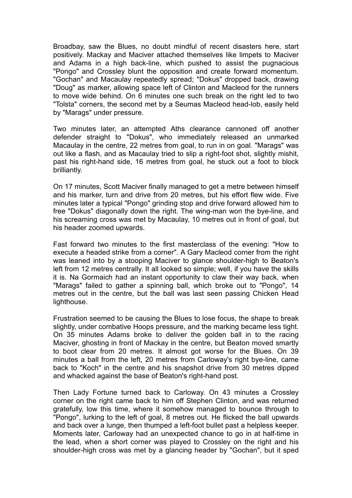Broadbay, saw the Blues, no doubt mindful of recent disasters here, start positively. Mackay and Maciver attached themselves like limpets to Maciver and Adams in a high back-line, which pushed to assist the pugnacious "Pongo" and Crossley blunt the opposition and create forward momentum. "Gochan" and Macaulay repeatedly spread; "Dokus" dropped back, drawing "Doug" as marker, allowing space left of Clinton and Macleod for the runners to move wide behind. On 6 minutes one such break on the right led to two "Tolsta" corners, the second met by a Seumas Macleod head-lob, easily held by "Marags" under pressure.

Two minutes later, an attempted Aths clearance cannoned off another defender straight to "Dokus", who immediately released an unmarked Macaulay in the centre, 22 metres from goal, to run in on goal. "Marags" was out like a flash, and as Macaulay tried to slip a right-foot shot, slightly mishit, past his right-hand side, 16 metres from goal, he stuck out a foot to block brilliantly.

On 17 minutes, Scott Maciver finally managed to get a metre between himself and his marker, turn and drive from 20 metres, but his effort flew wide. Five minutes later a typical "Pongo" grinding stop and drive forward allowed him to free "Dokus" diagonally down the right. The wing-man won the bye-line, and his screaming cross was met by Macaulay, 10 metres out in front of goal, but his header zoomed upwards.

Fast forward two minutes to the first masterclass of the evening: "How to execute a headed strike from a corner". A Gary Macleod corner from the right was leaned into by a stooping Maciver to glance shoulder-high to Beaton's left from 12 metres centrally. It all looked so simple; well, if you have the skills it is. Na Gormaich had an instant opportunity to claw their way back, when "Marags" failed to gather a spinning ball, which broke out to "Pongo", 14 metres out in the centre, but the ball was last seen passing Chicken Head lighthouse.

Frustration seemed to be causing the Blues to lose focus, the shape to break slightly, under combative Hoops pressure, and the marking became less tight. On 35 minutes Adams broke to deliver the golden ball in to the racing Maciver, ghosting in front of Mackay in the centre, but Beaton moved smartly to boot clear from 20 metres. It almost got worse for the Blues. On 39 minutes a ball from the left, 20 metres from Carloway's right bye-line, came back to "Koch" in the centre and his snapshot drive from 30 metres dipped and whacked against the base of Beaton's right-hand post.

Then Lady Fortune turned back to Carloway. On 43 minutes a Crossley corner on the right came back to him off Stephen Clinton, and was returned gratefully, low this time, where it somehow managed to bounce through to "Pongo", lurking to the left of goal, 8 metres out. He flicked the ball upwards and back over a lunge, then thumped a left-foot bullet past a helpless keeper. Moments later, Carloway had an unexpected chance to go in at half-time in the lead, when a short corner was played to Crossley on the right and his shoulder-high cross was met by a glancing header by "Gochan", but it sped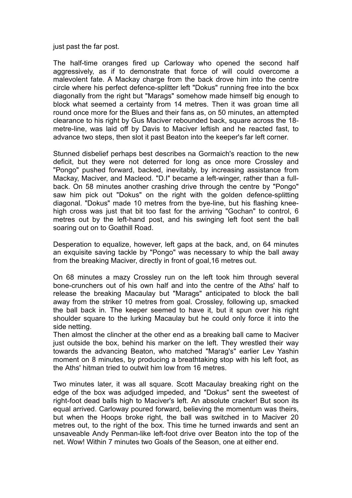just past the far post.

The half-time oranges fired up Carloway who opened the second half aggressively, as if to demonstrate that force of will could overcome a malevolent fate. A Mackay charge from the back drove him into the centre circle where his perfect defence-splitter left "Dokus" running free into the box diagonally from the right but "Marags" somehow made himself big enough to block what seemed a certainty from 14 metres. Then it was groan time all round once more for the Blues and their fans as, on 50 minutes, an attempted clearance to his right by Gus Maciver rebounded back, square across the 18 metre-line, was laid off by Davis to Maciver leftish and he reacted fast, to advance two steps, then slot it past Beaton into the keeper's far left corner.

Stunned disbelief perhaps best describes na Gormaich's reaction to the new deficit, but they were not deterred for long as once more Crossley and "Pongo" pushed forward, backed, inevitably, by increasing assistance from Mackay, Maciver, and Macleod. "D.I" became a left-winger, rather than a fullback. On 58 minutes another crashing drive through the centre by "Pongo" saw him pick out "Dokus" on the right with the golden defence-splitting diagonal. "Dokus" made 10 metres from the bye-line, but his flashing kneehigh cross was just that bit too fast for the arriving "Gochan" to control, 6 metres out by the left-hand post, and his swinging left foot sent the ball soaring out on to Goathill Road.

Desperation to equalize, however, left gaps at the back, and, on 64 minutes an exquisite saving tackle by "Pongo" was necessary to whip the ball away from the breaking Maciver, directly in front of goal,16 metres out.

On 68 minutes a mazy Crossley run on the left took him through several bone-crunchers out of his own half and into the centre of the Aths' half to release the breaking Macaulay but "Marags" anticipated to block the ball away from the striker 10 metres from goal. Crossley, following up, smacked the ball back in. The keeper seemed to have it, but it spun over his right shoulder square to the lurking Macaulay but he could only force it into the side netting.

Then almost the clincher at the other end as a breaking ball came to Maciver just outside the box, behind his marker on the left. They wrestled their way towards the advancing Beaton, who matched "Marag's" earlier Lev Yashin moment on 8 minutes, by producing a breathtaking stop with his left foot, as the Aths' hitman tried to outwit him low from 16 metres.

Two minutes later, it was all square. Scott Macaulay breaking right on the edge of the box was adjudged impeded, and "Dokus" sent the sweetest of right-foot dead balls high to Maciver's left. An absolute cracker! But soon its equal arrived. Carloway poured forward, believing the momentum was theirs, but when the Hoops broke right, the ball was switched in to Maciver 20 metres out, to the right of the box. This time he turned inwards and sent an unsaveable Andy Penman-like left-foot drive over Beaton into the top of the net. Wow! Within 7 minutes two Goals of the Season, one at either end.